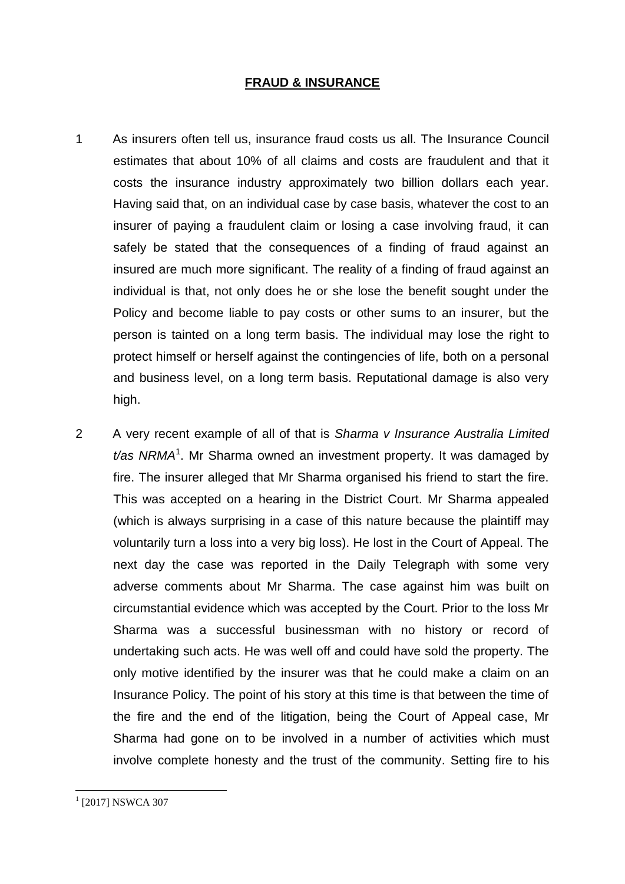## **FRAUD & INSURANCE**

- 1 As insurers often tell us, insurance fraud costs us all. The Insurance Council estimates that about 10% of all claims and costs are fraudulent and that it costs the insurance industry approximately two billion dollars each year. Having said that, on an individual case by case basis, whatever the cost to an insurer of paying a fraudulent claim or losing a case involving fraud, it can safely be stated that the consequences of a finding of fraud against an insured are much more significant. The reality of a finding of fraud against an individual is that, not only does he or she lose the benefit sought under the Policy and become liable to pay costs or other sums to an insurer, but the person is tainted on a long term basis. The individual may lose the right to protect himself or herself against the contingencies of life, both on a personal and business level, on a long term basis. Reputational damage is also very high.
- 2 A very recent example of all of that is *Sharma v Insurance Australia Limited*  t/as NRMA<sup>1</sup>. Mr Sharma owned an investment property. It was damaged by fire. The insurer alleged that Mr Sharma organised his friend to start the fire. This was accepted on a hearing in the District Court. Mr Sharma appealed (which is always surprising in a case of this nature because the plaintiff may voluntarily turn a loss into a very big loss). He lost in the Court of Appeal. The next day the case was reported in the Daily Telegraph with some very adverse comments about Mr Sharma. The case against him was built on circumstantial evidence which was accepted by the Court. Prior to the loss Mr Sharma was a successful businessman with no history or record of undertaking such acts. He was well off and could have sold the property. The only motive identified by the insurer was that he could make a claim on an Insurance Policy. The point of his story at this time is that between the time of the fire and the end of the litigation, being the Court of Appeal case, Mr Sharma had gone on to be involved in a number of activities which must involve complete honesty and the trust of the community. Setting fire to his

<sup>&</sup>lt;sup>1</sup> [2017] NSWCA 307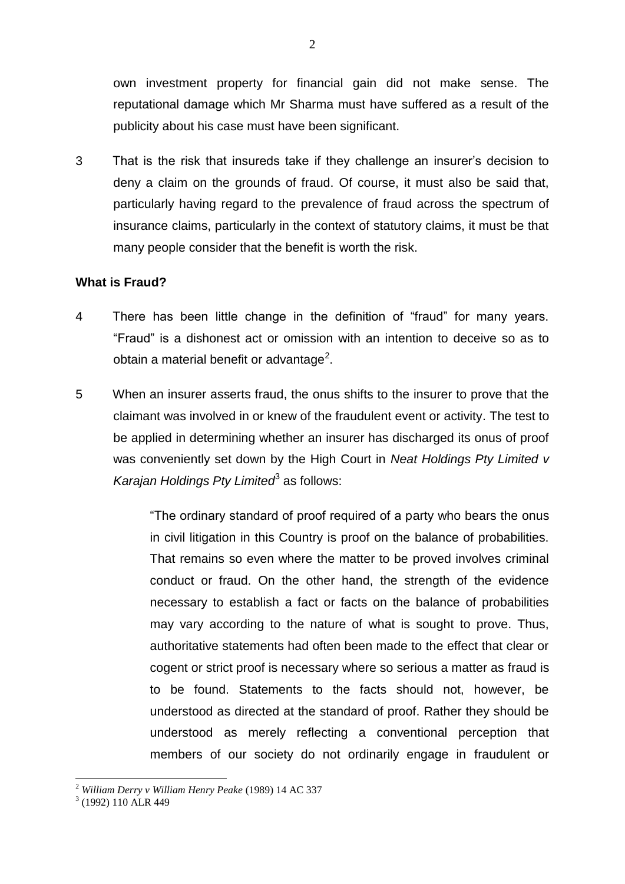own investment property for financial gain did not make sense. The reputational damage which Mr Sharma must have suffered as a result of the publicity about his case must have been significant.

3 That is the risk that insureds take if they challenge an insurer's decision to deny a claim on the grounds of fraud. Of course, it must also be said that, particularly having regard to the prevalence of fraud across the spectrum of insurance claims, particularly in the context of statutory claims, it must be that many people consider that the benefit is worth the risk.

# **What is Fraud?**

- 4 There has been little change in the definition of "fraud" for many years. "Fraud" is a dishonest act or omission with an intention to deceive so as to obtain a material benefit or advantage<sup>2</sup>.
- 5 When an insurer asserts fraud, the onus shifts to the insurer to prove that the claimant was involved in or knew of the fraudulent event or activity. The test to be applied in determining whether an insurer has discharged its onus of proof was conveniently set down by the High Court in *Neat Holdings Pty Limited v*  Karajan Holdings Pty Limited<sup>3</sup> as follows:

"The ordinary standard of proof required of a party who bears the onus in civil litigation in this Country is proof on the balance of probabilities. That remains so even where the matter to be proved involves criminal conduct or fraud. On the other hand, the strength of the evidence necessary to establish a fact or facts on the balance of probabilities may vary according to the nature of what is sought to prove. Thus, authoritative statements had often been made to the effect that clear or cogent or strict proof is necessary where so serious a matter as fraud is to be found. Statements to the facts should not, however, be understood as directed at the standard of proof. Rather they should be understood as merely reflecting a conventional perception that members of our society do not ordinarily engage in fraudulent or

<u>.</u>

<sup>2</sup> *William Derry v William Henry Peake* (1989) 14 AC 337

<sup>3</sup> (1992) 110 ALR 449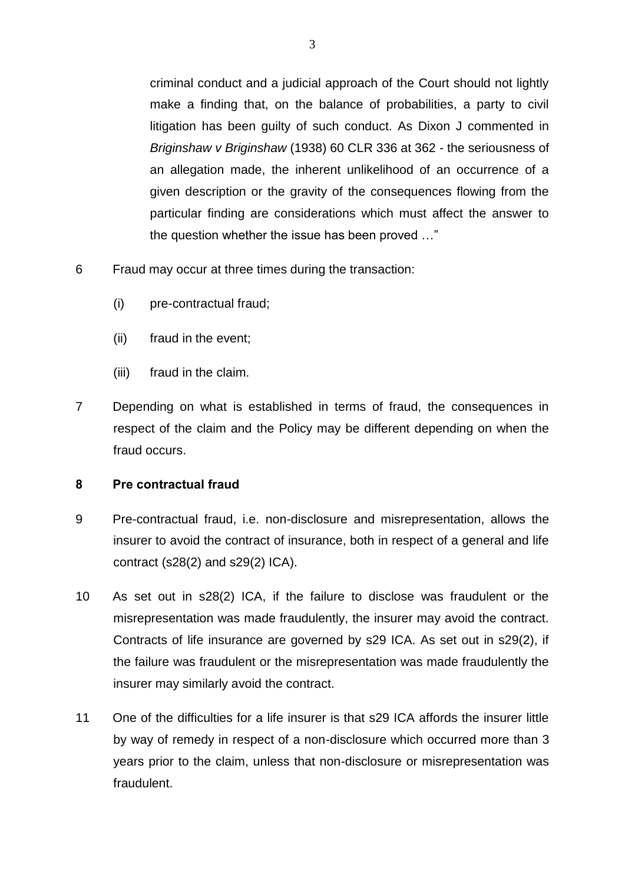criminal conduct and a judicial approach of the Court should not lightly make a finding that, on the balance of probabilities, a party to civil litigation has been guilty of such conduct. As Dixon J commented in *Briginshaw v Briginshaw* (1938) 60 CLR 336 at 362 - the seriousness of an allegation made, the inherent unlikelihood of an occurrence of a given description or the gravity of the consequences flowing from the particular finding are considerations which must affect the answer to the question whether the issue has been proved …"

- 6 Fraud may occur at three times during the transaction:
	- (i) pre-contractual fraud;
	- (ii) fraud in the event;
	- (iii) fraud in the claim.
- 7 Depending on what is established in terms of fraud, the consequences in respect of the claim and the Policy may be different depending on when the fraud occurs.

# **8 Pre contractual fraud**

- 9 Pre-contractual fraud, i.e. non-disclosure and misrepresentation, allows the insurer to avoid the contract of insurance, both in respect of a general and life contract (s28(2) and s29(2) ICA).
- 10 As set out in s28(2) ICA, if the failure to disclose was fraudulent or the misrepresentation was made fraudulently, the insurer may avoid the contract. Contracts of life insurance are governed by s29 ICA. As set out in s29(2), if the failure was fraudulent or the misrepresentation was made fraudulently the insurer may similarly avoid the contract.
- 11 One of the difficulties for a life insurer is that s29 ICA affords the insurer little by way of remedy in respect of a non-disclosure which occurred more than 3 years prior to the claim, unless that non-disclosure or misrepresentation was fraudulent.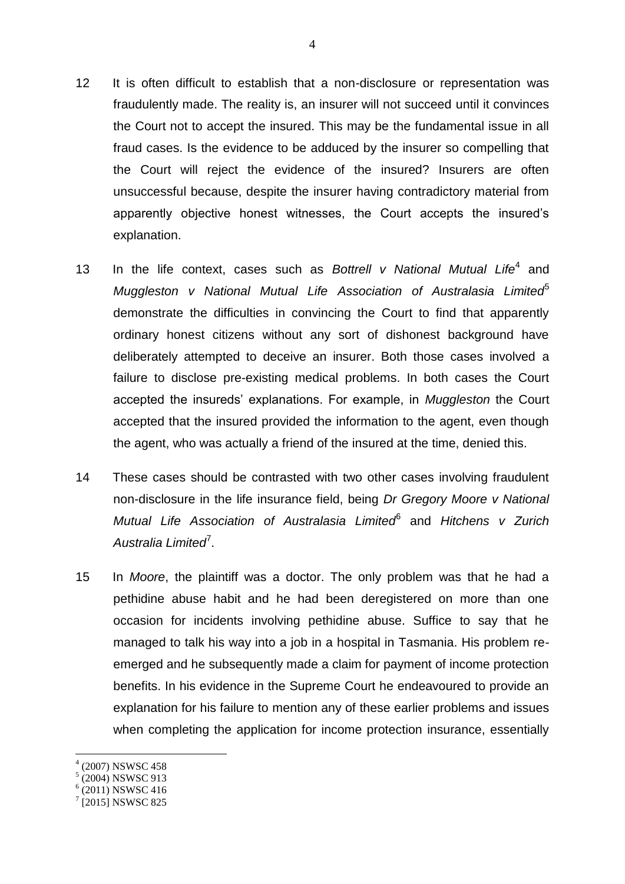- 12 It is often difficult to establish that a non-disclosure or representation was fraudulently made. The reality is, an insurer will not succeed until it convinces the Court not to accept the insured. This may be the fundamental issue in all fraud cases. Is the evidence to be adduced by the insurer so compelling that the Court will reject the evidence of the insured? Insurers are often unsuccessful because, despite the insurer having contradictory material from apparently objective honest witnesses, the Court accepts the insured's explanation.
- 13 In the life context, cases such as *Bottrell v National Mutual Life*<sup>4</sup> and *Muggleston v National Mutual Life Association of Australasia Limited*<sup>5</sup> demonstrate the difficulties in convincing the Court to find that apparently ordinary honest citizens without any sort of dishonest background have deliberately attempted to deceive an insurer. Both those cases involved a failure to disclose pre-existing medical problems. In both cases the Court accepted the insureds' explanations. For example, in *Muggleston* the Court accepted that the insured provided the information to the agent, even though the agent, who was actually a friend of the insured at the time, denied this.
- 14 These cases should be contrasted with two other cases involving fraudulent non-disclosure in the life insurance field, being *Dr Gregory Moore v National Mutual Life Association of Australasia Limited*<sup>6</sup> and *Hitchens v Zurich*  Australia Limited<sup>7</sup>.
- 15 In *Moore*, the plaintiff was a doctor. The only problem was that he had a pethidine abuse habit and he had been deregistered on more than one occasion for incidents involving pethidine abuse. Suffice to say that he managed to talk his way into a job in a hospital in Tasmania. His problem reemerged and he subsequently made a claim for payment of income protection benefits. In his evidence in the Supreme Court he endeavoured to provide an explanation for his failure to mention any of these earlier problems and issues when completing the application for income protection insurance, essentially

<sup>4</sup> (2007) NSWSC 458

<sup>5</sup> (2004) NSWSC 913

 $6(2011)$  NSWSC 416

<sup>&</sup>lt;sup>7</sup> [2015] NSWSC 825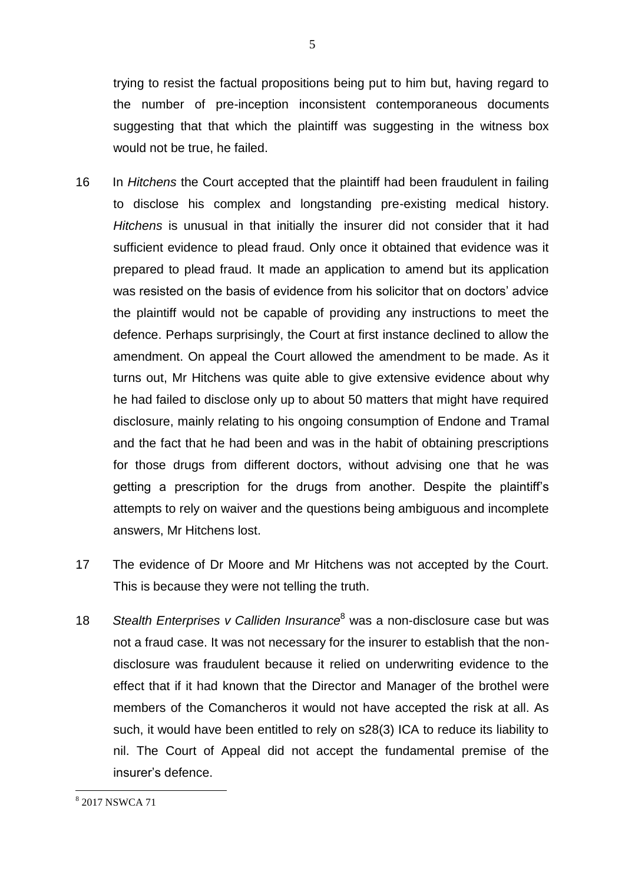trying to resist the factual propositions being put to him but, having regard to the number of pre-inception inconsistent contemporaneous documents suggesting that that which the plaintiff was suggesting in the witness box would not be true, he failed.

- 16 In *Hitchens* the Court accepted that the plaintiff had been fraudulent in failing to disclose his complex and longstanding pre-existing medical history. *Hitchens* is unusual in that initially the insurer did not consider that it had sufficient evidence to plead fraud. Only once it obtained that evidence was it prepared to plead fraud. It made an application to amend but its application was resisted on the basis of evidence from his solicitor that on doctors' advice the plaintiff would not be capable of providing any instructions to meet the defence. Perhaps surprisingly, the Court at first instance declined to allow the amendment. On appeal the Court allowed the amendment to be made. As it turns out, Mr Hitchens was quite able to give extensive evidence about why he had failed to disclose only up to about 50 matters that might have required disclosure, mainly relating to his ongoing consumption of Endone and Tramal and the fact that he had been and was in the habit of obtaining prescriptions for those drugs from different doctors, without advising one that he was getting a prescription for the drugs from another. Despite the plaintiff's attempts to rely on waiver and the questions being ambiguous and incomplete answers, Mr Hitchens lost.
- 17 The evidence of Dr Moore and Mr Hitchens was not accepted by the Court. This is because they were not telling the truth.
- 18 *Stealth Enterprises v Calliden Insurance*<sup>8</sup> was a non-disclosure case but was not a fraud case. It was not necessary for the insurer to establish that the nondisclosure was fraudulent because it relied on underwriting evidence to the effect that if it had known that the Director and Manager of the brothel were members of the Comancheros it would not have accepted the risk at all. As such, it would have been entitled to rely on s28(3) ICA to reduce its liability to nil. The Court of Appeal did not accept the fundamental premise of the insurer's defence.

<sup>8</sup> 2017 NSWCA 71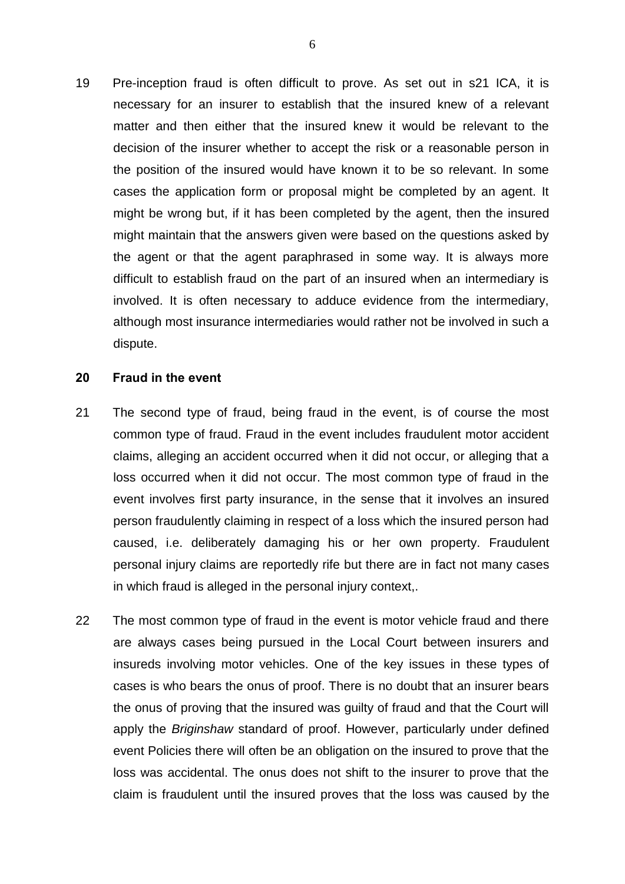19 Pre-inception fraud is often difficult to prove. As set out in s21 ICA, it is necessary for an insurer to establish that the insured knew of a relevant matter and then either that the insured knew it would be relevant to the decision of the insurer whether to accept the risk or a reasonable person in the position of the insured would have known it to be so relevant. In some cases the application form or proposal might be completed by an agent. It might be wrong but, if it has been completed by the agent, then the insured might maintain that the answers given were based on the questions asked by the agent or that the agent paraphrased in some way. It is always more difficult to establish fraud on the part of an insured when an intermediary is involved. It is often necessary to adduce evidence from the intermediary, although most insurance intermediaries would rather not be involved in such a dispute.

#### **20 Fraud in the event**

- 21 The second type of fraud, being fraud in the event, is of course the most common type of fraud. Fraud in the event includes fraudulent motor accident claims, alleging an accident occurred when it did not occur, or alleging that a loss occurred when it did not occur. The most common type of fraud in the event involves first party insurance, in the sense that it involves an insured person fraudulently claiming in respect of a loss which the insured person had caused, i.e. deliberately damaging his or her own property. Fraudulent personal injury claims are reportedly rife but there are in fact not many cases in which fraud is alleged in the personal injury context,.
- 22 The most common type of fraud in the event is motor vehicle fraud and there are always cases being pursued in the Local Court between insurers and insureds involving motor vehicles. One of the key issues in these types of cases is who bears the onus of proof. There is no doubt that an insurer bears the onus of proving that the insured was guilty of fraud and that the Court will apply the *Briginshaw* standard of proof. However, particularly under defined event Policies there will often be an obligation on the insured to prove that the loss was accidental. The onus does not shift to the insurer to prove that the claim is fraudulent until the insured proves that the loss was caused by the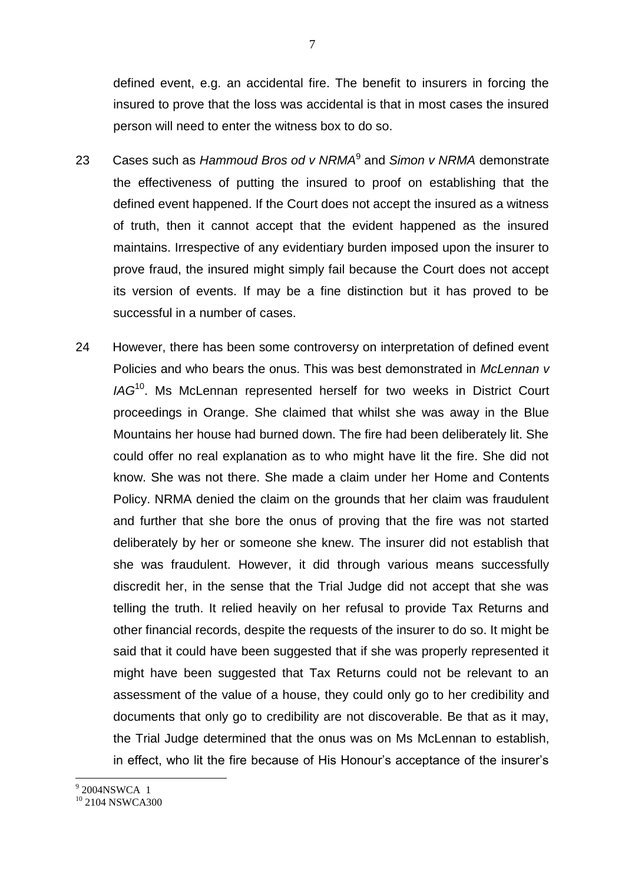defined event, e.g. an accidental fire. The benefit to insurers in forcing the insured to prove that the loss was accidental is that in most cases the insured person will need to enter the witness box to do so.

- 23 Cases such as *Hammoud Bros od v NRMA*<sup>9</sup> and *Simon v NRMA* demonstrate the effectiveness of putting the insured to proof on establishing that the defined event happened. If the Court does not accept the insured as a witness of truth, then it cannot accept that the evident happened as the insured maintains. Irrespective of any evidentiary burden imposed upon the insurer to prove fraud, the insured might simply fail because the Court does not accept its version of events. If may be a fine distinction but it has proved to be successful in a number of cases.
- 24 However, there has been some controversy on interpretation of defined event Policies and who bears the onus. This was best demonstrated in *McLennan v IAG*<sup>10</sup>. Ms McLennan represented herself for two weeks in District Court proceedings in Orange. She claimed that whilst she was away in the Blue Mountains her house had burned down. The fire had been deliberately lit. She could offer no real explanation as to who might have lit the fire. She did not know. She was not there. She made a claim under her Home and Contents Policy. NRMA denied the claim on the grounds that her claim was fraudulent and further that she bore the onus of proving that the fire was not started deliberately by her or someone she knew. The insurer did not establish that she was fraudulent. However, it did through various means successfully discredit her, in the sense that the Trial Judge did not accept that she was telling the truth. It relied heavily on her refusal to provide Tax Returns and other financial records, despite the requests of the insurer to do so. It might be said that it could have been suggested that if she was properly represented it might have been suggested that Tax Returns could not be relevant to an assessment of the value of a house, they could only go to her credibility and documents that only go to credibility are not discoverable. Be that as it may, the Trial Judge determined that the onus was on Ms McLennan to establish, in effect, who lit the fire because of His Honour's acceptance of the insurer's

9<br>9 2004NSWCA 1

 $10$  2104 NSWCA300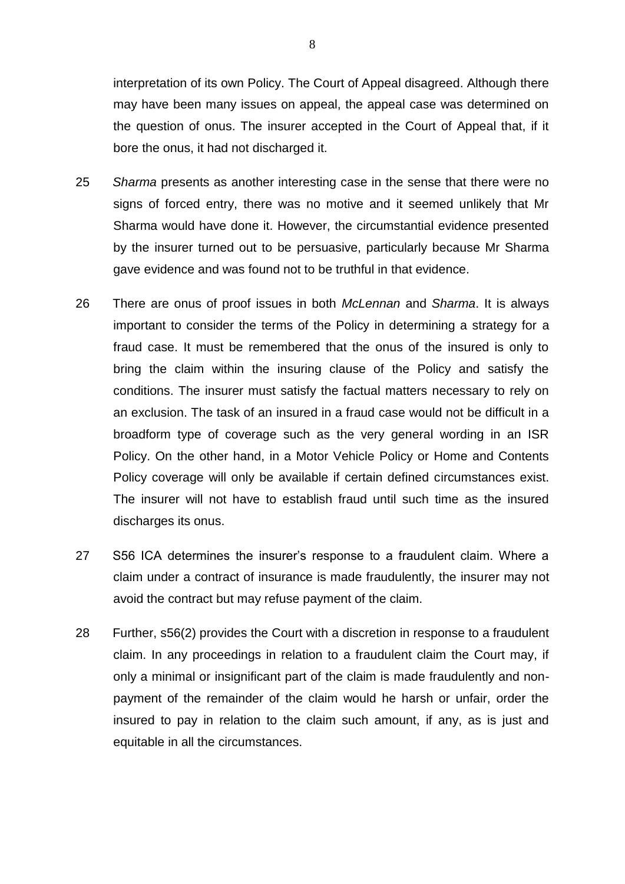interpretation of its own Policy. The Court of Appeal disagreed. Although there may have been many issues on appeal, the appeal case was determined on the question of onus. The insurer accepted in the Court of Appeal that, if it bore the onus, it had not discharged it.

- 25 *Sharma* presents as another interesting case in the sense that there were no signs of forced entry, there was no motive and it seemed unlikely that Mr Sharma would have done it. However, the circumstantial evidence presented by the insurer turned out to be persuasive, particularly because Mr Sharma gave evidence and was found not to be truthful in that evidence.
- 26 There are onus of proof issues in both *McLennan* and *Sharma*. It is always important to consider the terms of the Policy in determining a strategy for a fraud case. It must be remembered that the onus of the insured is only to bring the claim within the insuring clause of the Policy and satisfy the conditions. The insurer must satisfy the factual matters necessary to rely on an exclusion. The task of an insured in a fraud case would not be difficult in a broadform type of coverage such as the very general wording in an ISR Policy. On the other hand, in a Motor Vehicle Policy or Home and Contents Policy coverage will only be available if certain defined circumstances exist. The insurer will not have to establish fraud until such time as the insured discharges its onus.
- 27 S56 ICA determines the insurer's response to a fraudulent claim. Where a claim under a contract of insurance is made fraudulently, the insurer may not avoid the contract but may refuse payment of the claim.
- 28 Further, s56(2) provides the Court with a discretion in response to a fraudulent claim. In any proceedings in relation to a fraudulent claim the Court may, if only a minimal or insignificant part of the claim is made fraudulently and nonpayment of the remainder of the claim would he harsh or unfair, order the insured to pay in relation to the claim such amount, if any, as is just and equitable in all the circumstances.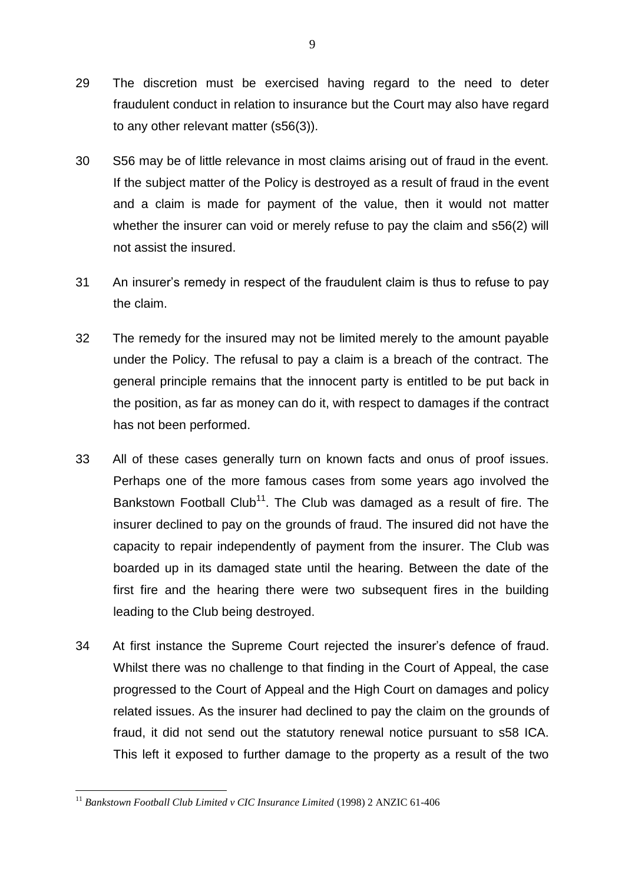- 29 The discretion must be exercised having regard to the need to deter fraudulent conduct in relation to insurance but the Court may also have regard to any other relevant matter (s56(3)).
- 30 S56 may be of little relevance in most claims arising out of fraud in the event. If the subject matter of the Policy is destroyed as a result of fraud in the event and a claim is made for payment of the value, then it would not matter whether the insurer can void or merely refuse to pay the claim and s56(2) will not assist the insured.
- 31 An insurer's remedy in respect of the fraudulent claim is thus to refuse to pay the claim.
- 32 The remedy for the insured may not be limited merely to the amount payable under the Policy. The refusal to pay a claim is a breach of the contract. The general principle remains that the innocent party is entitled to be put back in the position, as far as money can do it, with respect to damages if the contract has not been performed.
- 33 All of these cases generally turn on known facts and onus of proof issues. Perhaps one of the more famous cases from some years ago involved the Bankstown Football Club<sup>11</sup>. The Club was damaged as a result of fire. The insurer declined to pay on the grounds of fraud. The insured did not have the capacity to repair independently of payment from the insurer. The Club was boarded up in its damaged state until the hearing. Between the date of the first fire and the hearing there were two subsequent fires in the building leading to the Club being destroyed.
- 34 At first instance the Supreme Court rejected the insurer's defence of fraud. Whilst there was no challenge to that finding in the Court of Appeal, the case progressed to the Court of Appeal and the High Court on damages and policy related issues. As the insurer had declined to pay the claim on the grounds of fraud, it did not send out the statutory renewal notice pursuant to s58 ICA. This left it exposed to further damage to the property as a result of the two

<sup>1</sup> <sup>11</sup> Bankstown Football Club Limited v CIC Insurance Limited (1998) 2 ANZIC 61-406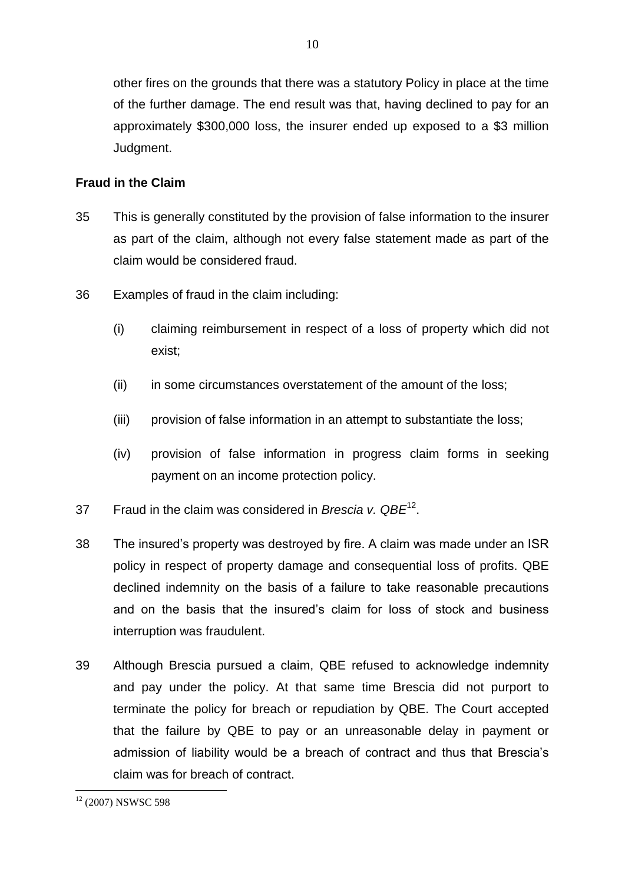other fires on the grounds that there was a statutory Policy in place at the time of the further damage. The end result was that, having declined to pay for an approximately \$300,000 loss, the insurer ended up exposed to a \$3 million Judgment.

10

# **Fraud in the Claim**

- 35 This is generally constituted by the provision of false information to the insurer as part of the claim, although not every false statement made as part of the claim would be considered fraud.
- 36 Examples of fraud in the claim including:
	- (i) claiming reimbursement in respect of a loss of property which did not exist;
	- (ii) in some circumstances overstatement of the amount of the loss;
	- (iii) provision of false information in an attempt to substantiate the loss;
	- (iv) provision of false information in progress claim forms in seeking payment on an income protection policy.
- 37 Fraud in the claim was considered in *Brescia v. QBE*<sup>12</sup> .
- 38 The insured's property was destroyed by fire. A claim was made under an ISR policy in respect of property damage and consequential loss of profits. QBE declined indemnity on the basis of a failure to take reasonable precautions and on the basis that the insured's claim for loss of stock and business interruption was fraudulent.
- 39 Although Brescia pursued a claim, QBE refused to acknowledge indemnity and pay under the policy. At that same time Brescia did not purport to terminate the policy for breach or repudiation by QBE. The Court accepted that the failure by QBE to pay or an unreasonable delay in payment or admission of liability would be a breach of contract and thus that Brescia's claim was for breach of contract.

<sup>1</sup>  $12$  (2007) NSWSC 598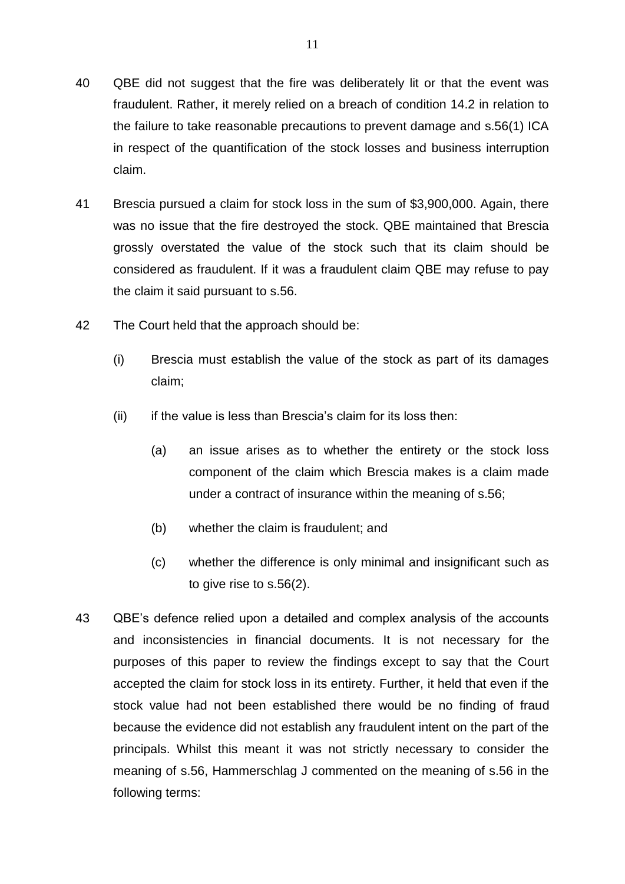- 40 QBE did not suggest that the fire was deliberately lit or that the event was fraudulent. Rather, it merely relied on a breach of condition 14.2 in relation to the failure to take reasonable precautions to prevent damage and s.56(1) ICA in respect of the quantification of the stock losses and business interruption claim.
- 41 Brescia pursued a claim for stock loss in the sum of \$3,900,000. Again, there was no issue that the fire destroyed the stock. QBE maintained that Brescia grossly overstated the value of the stock such that its claim should be considered as fraudulent. If it was a fraudulent claim QBE may refuse to pay the claim it said pursuant to s.56.
- 42 The Court held that the approach should be:
	- (i) Brescia must establish the value of the stock as part of its damages claim;
	- (ii) if the value is less than Brescia's claim for its loss then:
		- (a) an issue arises as to whether the entirety or the stock loss component of the claim which Brescia makes is a claim made under a contract of insurance within the meaning of s.56;
		- (b) whether the claim is fraudulent; and
		- (c) whether the difference is only minimal and insignificant such as to give rise to s.56(2).
- 43 QBE's defence relied upon a detailed and complex analysis of the accounts and inconsistencies in financial documents. It is not necessary for the purposes of this paper to review the findings except to say that the Court accepted the claim for stock loss in its entirety. Further, it held that even if the stock value had not been established there would be no finding of fraud because the evidence did not establish any fraudulent intent on the part of the principals. Whilst this meant it was not strictly necessary to consider the meaning of s.56, Hammerschlag J commented on the meaning of s.56 in the following terms: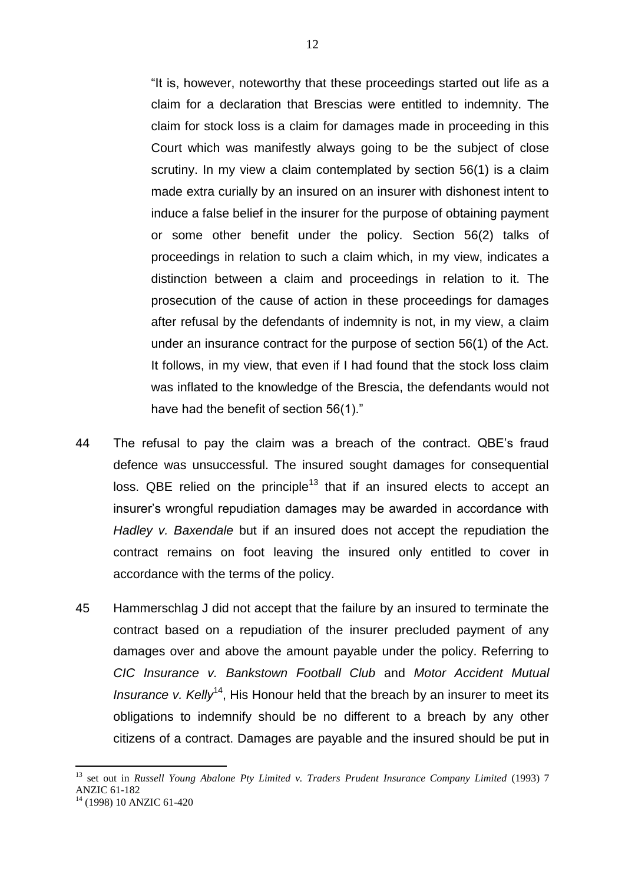"It is, however, noteworthy that these proceedings started out life as a claim for a declaration that Brescias were entitled to indemnity. The claim for stock loss is a claim for damages made in proceeding in this Court which was manifestly always going to be the subject of close scrutiny. In my view a claim contemplated by section 56(1) is a claim made extra curially by an insured on an insurer with dishonest intent to induce a false belief in the insurer for the purpose of obtaining payment or some other benefit under the policy. Section 56(2) talks of proceedings in relation to such a claim which, in my view, indicates a distinction between a claim and proceedings in relation to it. The prosecution of the cause of action in these proceedings for damages after refusal by the defendants of indemnity is not, in my view, a claim under an insurance contract for the purpose of section 56(1) of the Act. It follows, in my view, that even if I had found that the stock loss claim was inflated to the knowledge of the Brescia, the defendants would not have had the benefit of section 56(1)."

- 44 The refusal to pay the claim was a breach of the contract. QBE's fraud defence was unsuccessful. The insured sought damages for consequential loss. QBE relied on the principle<sup>13</sup> that if an insured elects to accept an insurer's wrongful repudiation damages may be awarded in accordance with *Hadley v. Baxendale* but if an insured does not accept the repudiation the contract remains on foot leaving the insured only entitled to cover in accordance with the terms of the policy.
- 45 Hammerschlag J did not accept that the failure by an insured to terminate the contract based on a repudiation of the insurer precluded payment of any damages over and above the amount payable under the policy. Referring to *CIC Insurance v. Bankstown Football Club* and *Motor Accident Mutual Insurance v. Kelly*<sup>14</sup>, His Honour held that the breach by an insurer to meet its obligations to indemnify should be no different to a breach by any other citizens of a contract. Damages are payable and the insured should be put in

<sup>13</sup> set out in *Russell Young Abalone Pty Limited v. Traders Prudent Insurance Company Limited* (1993) 7 ANZIC 61-182

<sup>14</sup> (1998) 10 ANZIC 61-420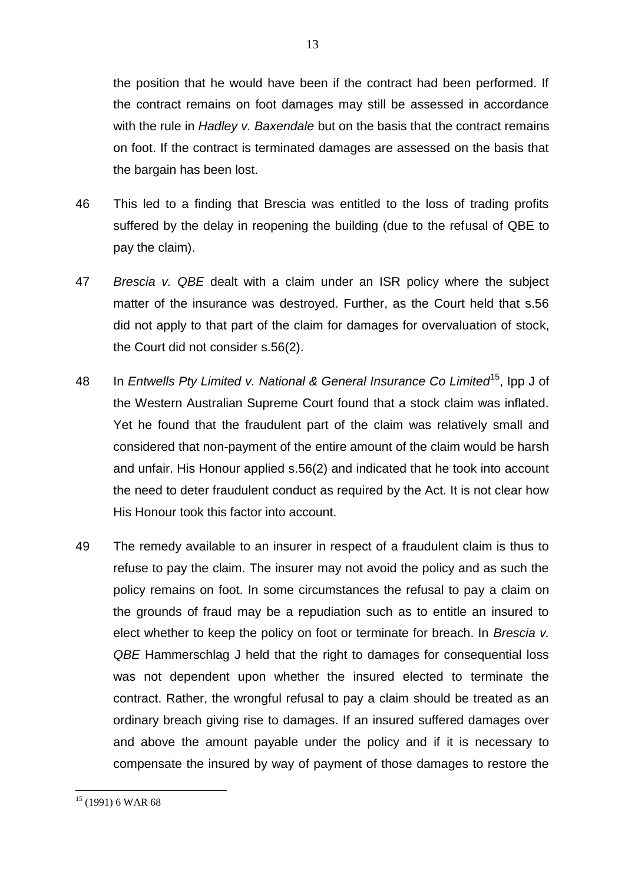the position that he would have been if the contract had been performed. If the contract remains on foot damages may still be assessed in accordance with the rule in *Hadley v. Baxendale* but on the basis that the contract remains on foot. If the contract is terminated damages are assessed on the basis that the bargain has been lost.

- 46 This led to a finding that Brescia was entitled to the loss of trading profits suffered by the delay in reopening the building (due to the refusal of QBE to pay the claim).
- 47 *Brescia v. QBE* dealt with a claim under an ISR policy where the subject matter of the insurance was destroyed. Further, as the Court held that s.56 did not apply to that part of the claim for damages for overvaluation of stock, the Court did not consider s.56(2).
- 48 In *Entwells Pty Limited v. National & General Insurance Co Limited*<sup>15</sup>, Ipp J of the Western Australian Supreme Court found that a stock claim was inflated. Yet he found that the fraudulent part of the claim was relatively small and considered that non-payment of the entire amount of the claim would be harsh and unfair. His Honour applied s.56(2) and indicated that he took into account the need to deter fraudulent conduct as required by the Act. It is not clear how His Honour took this factor into account.
- 49 The remedy available to an insurer in respect of a fraudulent claim is thus to refuse to pay the claim. The insurer may not avoid the policy and as such the policy remains on foot. In some circumstances the refusal to pay a claim on the grounds of fraud may be a repudiation such as to entitle an insured to elect whether to keep the policy on foot or terminate for breach. In *Brescia v. QBE* Hammerschlag J held that the right to damages for consequential loss was not dependent upon whether the insured elected to terminate the contract. Rather, the wrongful refusal to pay a claim should be treated as an ordinary breach giving rise to damages. If an insured suffered damages over and above the amount payable under the policy and if it is necessary to compensate the insured by way of payment of those damages to restore the

 $15$  (1991) 6 WAR 68